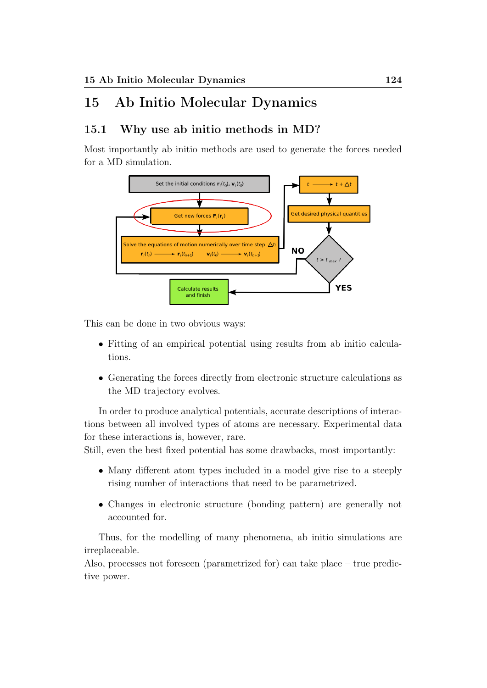# 15 Ab Initio Molecular Dynamics

# 15.1 Why use ab initio methods in MD?

Most importantly ab initio methods are used to generate the forces needed for a MD simulation.



This can be done in two obvious ways:

- Fitting of an empirical potential using results from ab initio calculations.
- Generating the forces directly from electronic structure calculations as the MD trajectory evolves.

In order to produce analytical potentials, accurate descriptions of interactions between all involved types of atoms are necessary. Experimental data for these interactions is, however, rare.

Still, even the best fixed potential has some drawbacks, most importantly:

- Many different atom types included in a model give rise to a steeply rising number of interactions that need to be parametrized.
- Changes in electronic structure (bonding pattern) are generally not accounted for.

Thus, for the modelling of many phenomena, ab initio simulations are irreplaceable.

Also, processes not foreseen (parametrized for) can take place – true predictive power.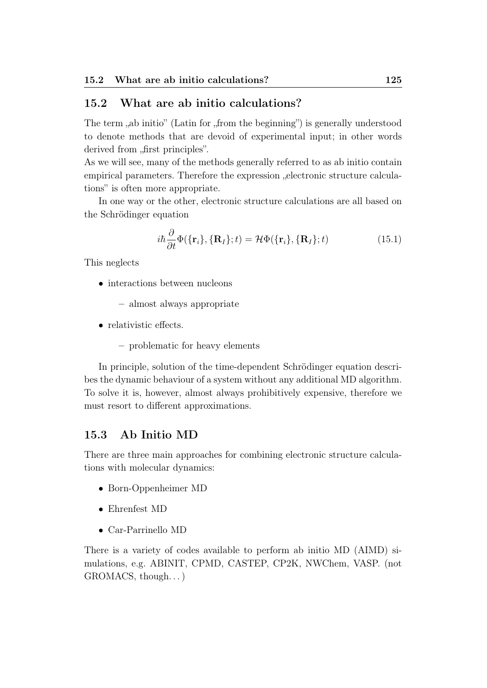# 15.2 What are ab initio calculations?

The term , ab initio" (Latin for , from the beginning") is generally understood to denote methods that are devoid of experimental input; in other words derived from "first principles".

As we will see, many of the methods generally referred to as ab initio contain empirical parameters. Therefore the expression  $\alpha$  electronic structure calculations" is often more appropriate.

In one way or the other, electronic structure calculations are all based on the Schrödinger equation

$$
i\hbar \frac{\partial}{\partial t} \Phi(\{\mathbf{r}_i\}, \{\mathbf{R}_I\}; t) = \mathcal{H} \Phi(\{\mathbf{r}_i\}, \{\mathbf{R}_I\}; t)
$$
(15.1)

This neglects

• interactions between nucleons

– almost always appropriate

- relativistic effects.
	- problematic for heavy elements

In principle, solution of the time-dependent Schrödinger equation describes the dynamic behaviour of a system without any additional MD algorithm. To solve it is, however, almost always prohibitively expensive, therefore we must resort to different approximations.

# 15.3 Ab Initio MD

There are three main approaches for combining electronic structure calculations with molecular dynamics:

- Born-Oppenheimer MD
- Ehrenfest MD
- Car-Parrinello MD

There is a variety of codes available to perform ab initio MD (AIMD) simulations, e.g. ABINIT, CPMD, CASTEP, CP2K, NWChem, VASP. (not GROMACS, though. . . )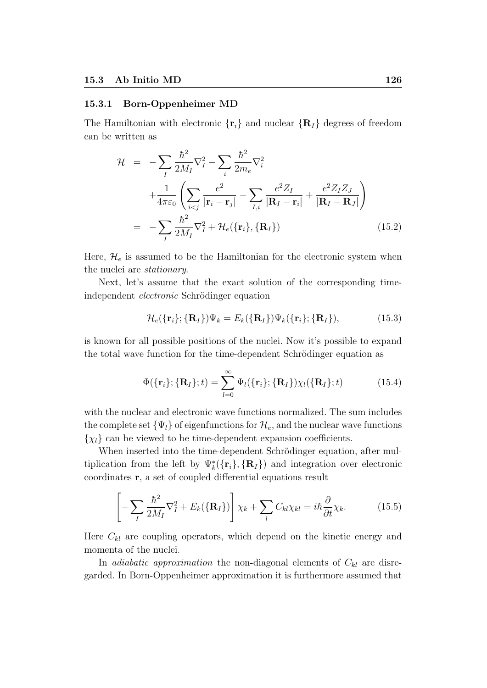### 15.3.1 Born-Oppenheimer MD

The Hamiltonian with electronic  $\{r_i\}$  and nuclear  $\{R_I\}$  degrees of freedom can be written as

$$
\mathcal{H} = -\sum_{I} \frac{\hbar^2}{2M_I} \nabla_I^2 - \sum_{i} \frac{\hbar^2}{2m_e} \nabla_i^2
$$
  
 
$$
+ \frac{1}{4\pi\varepsilon_0} \left( \sum_{i < j} \frac{e^2}{|\mathbf{r}_i - \mathbf{r}_j|} - \sum_{I,i} \frac{e^2 Z_I}{|\mathbf{R}_I - \mathbf{r}_i|} + \frac{e^2 Z_I Z_J}{|\mathbf{R}_I - \mathbf{R}_J|} \right)
$$
  
 
$$
= -\sum_{I} \frac{\hbar^2}{2M_I} \nabla_I^2 + \mathcal{H}_e(\{\mathbf{r}_i\}, \{\mathbf{R}_I\}) \tag{15.2}
$$

Here,  $\mathcal{H}_e$  is assumed to be the Hamiltonian for the electronic system when the nuclei are stationary.

Next, let's assume that the exact solution of the corresponding timeindependent electronic Schrödinger equation

$$
\mathcal{H}_e(\{\mathbf{r}_i\}; \{\mathbf{R}_I\})\Psi_k = E_k(\{\mathbf{R}_I\})\Psi_k(\{\mathbf{r}_i\}; \{\mathbf{R}_I\}),\tag{15.3}
$$

is known for all possible positions of the nuclei. Now it's possible to expand the total wave function for the time-dependent Schrödinger equation as

$$
\Phi(\lbrace \mathbf{r}_i \rbrace; \lbrace \mathbf{R}_I \rbrace; t) = \sum_{l=0}^{\infty} \Psi_l(\lbrace \mathbf{r}_i \rbrace; \lbrace \mathbf{R}_I \rbrace) \chi_l(\lbrace \mathbf{R}_I \rbrace; t)
$$
(15.4)

with the nuclear and electronic wave functions normalized. The sum includes the complete set  $\{\Psi_l\}$  of eigenfunctions for  $\mathcal{H}_e$ , and the nuclear wave functions  $\{\chi_l\}$  can be viewed to be time-dependent expansion coefficients.

When inserted into the time-dependent Schrödinger equation, after multiplication from the left by  $\Psi^*_k({\bf r}_i), {\bf R}_I$ ) and integration over electronic coordinates r, a set of coupled differential equations result

$$
\left[ -\sum_{I} \frac{\hbar^2}{2M_I} \nabla_I^2 + E_k(\{\mathbf{R}_I\}) \right] \chi_k + \sum_{I} C_{kl} \chi_{kl} = i\hbar \frac{\partial}{\partial t} \chi_k. \tag{15.5}
$$

Here  $C_{kl}$  are coupling operators, which depend on the kinetic energy and momenta of the nuclei.

In *adiabatic approximation* the non-diagonal elements of  $C_{kl}$  are disregarded. In Born-Oppenheimer approximation it is furthermore assumed that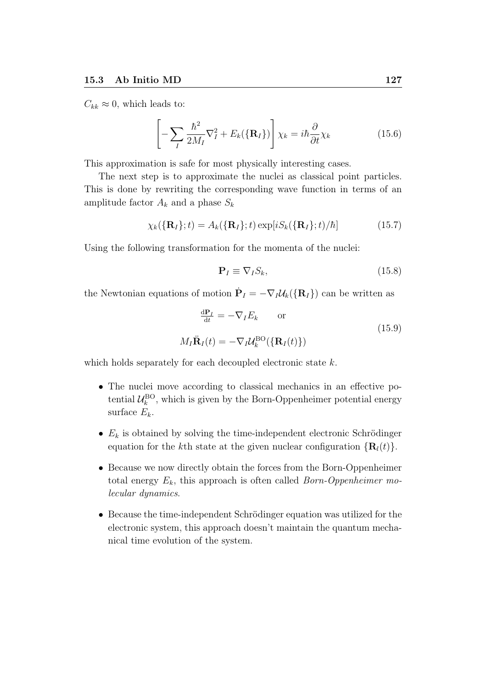$C_{kk} \approx 0$ , which leads to:

$$
\left[ -\sum_{I} \frac{\hbar^2}{2M_I} \nabla_I^2 + E_k(\{\mathbf{R}_I\}) \right] \chi_k = i\hbar \frac{\partial}{\partial t} \chi_k \tag{15.6}
$$

This approximation is safe for most physically interesting cases.

The next step is to approximate the nuclei as classical point particles. This is done by rewriting the corresponding wave function in terms of an amplitude factor  $A_k$  and a phase  $S_k$ 

$$
\chi_k(\{\mathbf{R}_I\};t) = A_k(\{\mathbf{R}_I\};t)\exp[iS_k(\{\mathbf{R}_I\};t)/\hbar]
$$
(15.7)

Using the following transformation for the momenta of the nuclei:

$$
\mathbf{P}_I \equiv \nabla_I S_k,\tag{15.8}
$$

the Newtonian equations of motion  $\dot{\mathbf{P}}_I = -\nabla_I \mathcal{U}_k(\{\mathbf{R}_I\})$  can be written as

$$
\frac{d\mathbf{P}_I}{dt} = -\nabla_I E_k \quad \text{or}
$$

$$
M_I \ddot{\mathbf{R}}_I(t) = -\nabla_I \mathcal{U}_k^{\text{BO}}(\{\mathbf{R}_I(t)\})
$$
(15.9)

which holds separately for each decoupled electronic state  $k$ .

- The nuclei move according to classical mechanics in an effective potential  $\mathcal{U}_k^{\text{BO}}$ , which is given by the Born-Oppenheimer potential energy surface  $E_k$ .
- $E_k$  is obtained by solving the time-independent electronic Schrödinger equation for the kth state at the given nuclear configuration  $\{R_l(t)\}.$
- Because we now directly obtain the forces from the Born-Oppenheimer total energy  $E_k$ , this approach is often called *Born-Oppenheimer mo*lecular dynamics.
- Because the time-independent Schrödinger equation was utilized for the electronic system, this approach doesn't maintain the quantum mechanical time evolution of the system.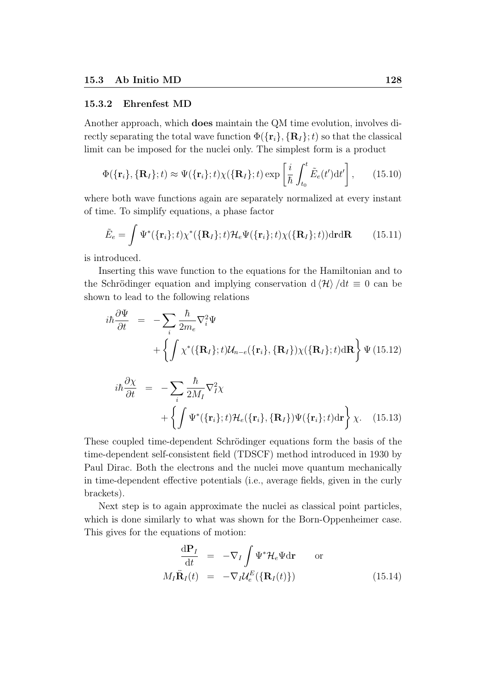#### 15.3.2 Ehrenfest MD

Another approach, which does maintain the QM time evolution, involves directly separating the total wave function  $\Phi({\{r_i\}}, {\{R_I\}};t)$  so that the classical limit can be imposed for the nuclei only. The simplest form is a product

$$
\Phi(\{\mathbf{r}_i\}, \{\mathbf{R}_I\}; t) \approx \Psi(\{\mathbf{r}_i\}; t) \chi(\{\mathbf{R}_I\}; t) \exp\left[\frac{i}{\hbar} \int_{t_0}^t \tilde{E}_e(t') dt'\right], \qquad (15.10)
$$

where both wave functions again are separately normalized at every instant of time. To simplify equations, a phase factor

$$
\tilde{E}_e = \int \Psi^*(\{\mathbf{r}_i\};t) \chi^*(\{\mathbf{R}_I\};t) \mathcal{H}_e \Psi(\{\mathbf{r}_i\};t) \chi(\{\mathbf{R}_I\};t)) \mathrm{d} \mathbf{r} \mathrm{d} \mathbf{R} \qquad (15.11)
$$

is introduced.

Inserting this wave function to the equations for the Hamiltonian and to the Schrödinger equation and implying conservation d  $\langle \mathcal{H} \rangle /dt \equiv 0$  can be shown to lead to the following relations

$$
i\hbar \frac{\partial \Psi}{\partial t} = -\sum_{i} \frac{\hbar}{2m_{e}} \nabla_{i}^{2} \Psi
$$
  
+ 
$$
\left\{ \int \chi^{*}(\{\mathbf{R}_{I}\}; t) \mathcal{U}_{n-e}(\{\mathbf{r}_{i}\}, \{\mathbf{R}_{I}\}) \chi(\{\mathbf{R}_{I}\}; t) d\mathbf{R} \right\} \Psi
$$
(15.12)  

$$
i\hbar \frac{\partial \chi}{\partial t} = -\sum_{i} \frac{\hbar}{2M_{I}} \nabla_{I}^{2} \chi
$$
  
+ 
$$
\left\{ \int \Psi^{*}(\{\mathbf{r}_{i}\}; t) \mathcal{H}_{e}(\{\mathbf{r}_{i}\}, \{\mathbf{R}_{I}\}) \Psi(\{\mathbf{r}_{i}\}; t) d\mathbf{r} \right\} \chi.
$$
(15.13)

These coupled time-dependent Schrödinger equations form the basis of the time-dependent self-consistent field (TDSCF) method introduced in 1930 by Paul Dirac. Both the electrons and the nuclei move quantum mechanically in time-dependent effective potentials (i.e., average fields, given in the curly brackets).

Next step is to again approximate the nuclei as classical point particles, which is done similarly to what was shown for the Born-Oppenheimer case. This gives for the equations of motion:

$$
\frac{d\mathbf{P}_I}{dt} = -\nabla_I \int \Psi^* \mathcal{H}_e \Psi d\mathbf{r} \quad \text{or}
$$
\n
$$
M_I \ddot{\mathbf{R}}_I(t) = -\nabla_I \mathcal{U}_e^E (\{\mathbf{R}_I(t)\}) \quad (15.14)
$$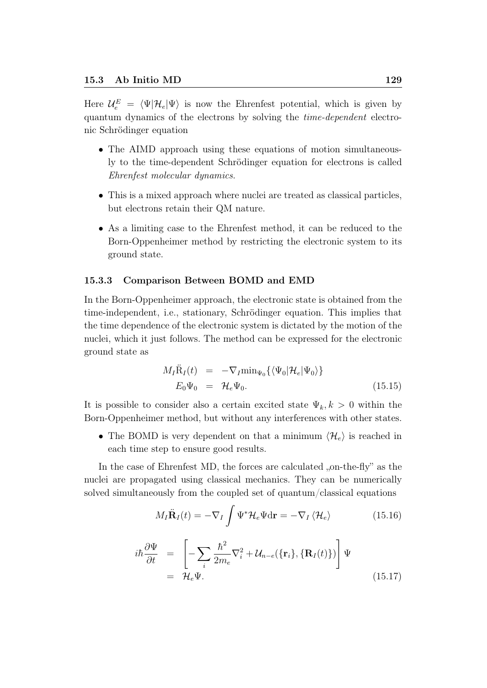Here  $\mathcal{U}^E_e = \langle \Psi | \mathcal{H}_e | \Psi \rangle$  is now the Ehrenfest potential, which is given by quantum dynamics of the electrons by solving the time-dependent electronic Schrödinger equation

- The AIMD approach using these equations of motion simultaneously to the time-dependent Schrödinger equation for electrons is called Ehrenfest molecular dynamics.
- This is a mixed approach where nuclei are treated as classical particles, but electrons retain their QM nature.
- As a limiting case to the Ehrenfest method, it can be reduced to the Born-Oppenheimer method by restricting the electronic system to its ground state.

#### 15.3.3 Comparison Between BOMD and EMD

In the Born-Oppenheimer approach, the electronic state is obtained from the time-independent, i.e., stationary, Schrödinger equation. This implies that the time dependence of the electronic system is dictated by the motion of the nuclei, which it just follows. The method can be expressed for the electronic ground state as

$$
M_I \ddot{R}_I(t) = -\nabla_I \min_{\Psi_0} {\{\langle \Psi_0 | \mathcal{H}_e | \Psi_0 \rangle \}}
$$
  

$$
E_0 \Psi_0 = \mathcal{H}_e \Psi_0.
$$
 (15.15)

It is possible to consider also a certain excited state  $\Psi_k, k > 0$  within the Born-Oppenheimer method, but without any interferences with other states.

• The BOMD is very dependent on that a minimum  $\langle \mathcal{H}_e \rangle$  is reached in each time step to ensure good results.

In the case of Ehrenfest MD, the forces are calculated  $_{\rm o}$ , on-the-fly" as the nuclei are propagated using classical mechanics. They can be numerically solved simultaneously from the coupled set of quantum/classical equations

$$
M_I \ddot{\mathbf{R}}_I(t) = -\nabla_I \int \Psi^* \mathcal{H}_e \Psi \mathrm{d}\mathbf{r} = -\nabla_I \left\langle \mathcal{H}_e \right\rangle \tag{15.16}
$$

$$
i\hbar \frac{\partial \Psi}{\partial t} = \left[ -\sum_{i} \frac{\hbar^2}{2m_e} \nabla_i^2 + \mathcal{U}_{n-e}(\{\mathbf{r}_i\}, \{\mathbf{R}_I(t)\}) \right] \Psi
$$
  
=  $\mathcal{H}_e \Psi.$  (15.17)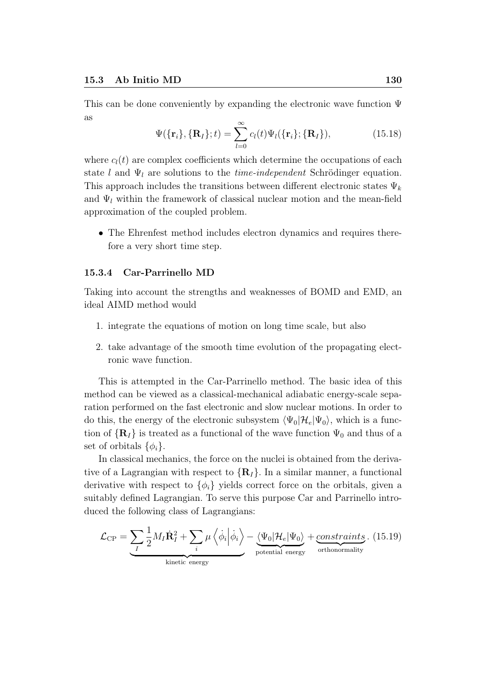This can be done conveniently by expanding the electronic wave function Ψ as

$$
\Psi(\{\mathbf{r}_i\}, {\{\mathbf{R}_I\}}; t) = \sum_{l=0}^{\infty} c_l(t) \Psi_l({\{\mathbf{r}_i\}}; {\{\mathbf{R}_I\}}),
$$
\n(15.18)

where  $c_l(t)$  are complex coefficients which determine the occupations of each state l and  $\Psi_l$  are solutions to the *time-independent* Schrödinger equation. This approach includes the transitions between different electronic states  $\Psi_k$ and  $\Psi_l$  within the framework of classical nuclear motion and the mean-field approximation of the coupled problem.

• The Ehrenfest method includes electron dynamics and requires therefore a very short time step.

#### 15.3.4 Car-Parrinello MD

Taking into account the strengths and weaknesses of BOMD and EMD, an ideal AIMD method would

- 1. integrate the equations of motion on long time scale, but also
- 2. take advantage of the smooth time evolution of the propagating electronic wave function.

This is attempted in the Car-Parrinello method. The basic idea of this method can be viewed as a classical-mechanical adiabatic energy-scale separation performed on the fast electronic and slow nuclear motions. In order to do this, the energy of the electronic subsystem  $\langle \Psi_0 | \mathcal{H}_e | \Psi_0 \rangle$ , which is a function of  $\{R_I\}$  is treated as a functional of the wave function  $\Psi_0$  and thus of a set of orbitals  $\{\phi_i\}.$ 

In classical mechanics, the force on the nuclei is obtained from the derivative of a Lagrangian with respect to  $\{R_I\}$ . In a similar manner, a functional derivative with respect to  $\{\phi_i\}$  yields correct force on the orbitals, given a suitably defined Lagrangian. To serve this purpose Car and Parrinello introduced the following class of Lagrangians:

$$
\mathcal{L}_{\rm CP} = \underbrace{\sum_{I} \frac{1}{2} M_I \dot{\mathbf{R}}_I^2 + \sum_{i} \mu \left\langle \dot{\phi}_i \middle| \dot{\phi}_i \right\rangle}_{\text{kinetic energy}} - \underbrace{\left\langle \Psi_0 \middle| \mathcal{H}_e \middle| \Psi_0 \right\rangle}_{\text{potential energy}} + \underbrace{\text{constraints}}_{\text{orthonormality}}. (15.19)
$$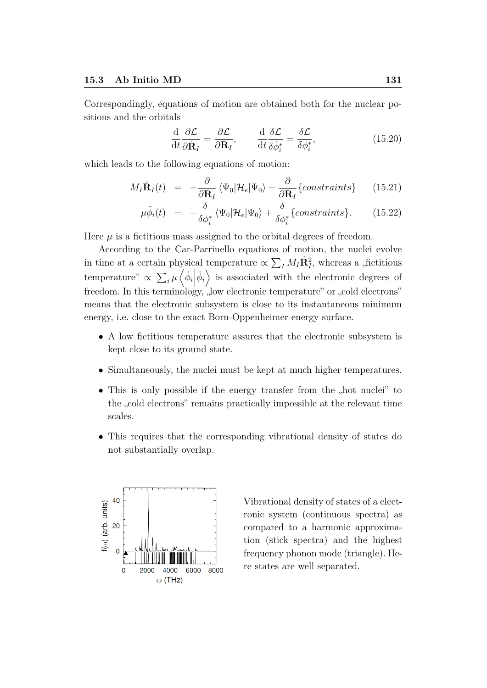Correspondingly, equations of motion are obtained both for the nuclear positions and the orbitals

$$
\frac{\mathrm{d}}{\mathrm{d}t}\frac{\partial \mathcal{L}}{\partial \dot{\mathbf{R}}_I} = \frac{\partial \mathcal{L}}{\partial \mathbf{R}_I}, \qquad \frac{\mathrm{d}}{\mathrm{d}t}\frac{\delta \mathcal{L}}{\delta \dot{\phi}_i^*} = \frac{\delta \mathcal{L}}{\delta \phi_i^*}, \tag{15.20}
$$

which leads to the following equations of motion:

$$
M_I \ddot{\mathbf{R}}_I(t) = -\frac{\partial}{\partial \mathbf{R}_I} \langle \Psi_0 | \mathcal{H}_e | \Psi_0 \rangle + \frac{\partial}{\partial \mathbf{R}_I} \{constraints \} \qquad (15.21)
$$

$$
\mu \ddot{\phi}_i(t) = -\frac{\delta}{\delta \phi_i^*} \langle \Psi_0 | \mathcal{H}_e | \Psi_0 \rangle + \frac{\delta}{\delta \phi_i^*} \{ constraints \}. \tag{15.22}
$$

Here  $\mu$  is a fictitious mass assigned to the orbital degrees of freedom.

According to the Car-Parrinello equations of motion, the nuclei evolve in time at a certain physical temperature  $\propto \sum_{I} M_{I} \dot{\mathbf{R}}_{I}^{2}$ , whereas a "fictitious temperature"  $\propto \sum_i \mu \left\langle \dot{\phi}_i \right| \dot{\phi}$  $\langle i \rangle$  is associated with the electronic degrees of freedom. In this terminology, "low electronic temperature" or "cold electrons" means that the electronic subsystem is close to its instantaneous minimum energy, i.e. close to the exact Born-Oppenheimer energy surface.

- A low fictitious temperature assures that the electronic subsystem is kept close to its ground state.
- Simultaneously, the nuclei must be kept at much higher temperatures.
- This is only possible if the energy transfer from the "hot nuclei" to the "cold electrons" remains practically impossible at the relevant time scales.
- This requires that the corresponding vibrational density of states do not substantially overlap.



Vibrational density of states of a electronic system (continuous spectra) as compared to a harmonic approximation (stick spectra) and the highest frequency phonon mode (triangle). Here states are well separated.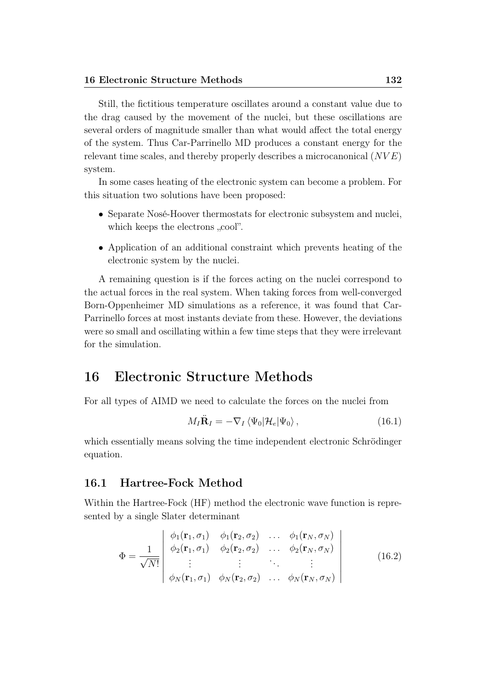Still, the fictitious temperature oscillates around a constant value due to the drag caused by the movement of the nuclei, but these oscillations are several orders of magnitude smaller than what would affect the total energy of the system. Thus Car-Parrinello MD produces a constant energy for the relevant time scales, and thereby properly describes a microcanonical  $(NVE)$ system.

In some cases heating of the electronic system can become a problem. For this situation two solutions have been proposed:

- Separate Nosé-Hoover thermostats for electronic subsystem and nuclei, which keeps the electrons , cool".
- Application of an additional constraint which prevents heating of the electronic system by the nuclei.

A remaining question is if the forces acting on the nuclei correspond to the actual forces in the real system. When taking forces from well-converged Born-Oppenheimer MD simulations as a reference, it was found that Car-Parrinello forces at most instants deviate from these. However, the deviations were so small and oscillating within a few time steps that they were irrelevant for the simulation.

# 16 Electronic Structure Methods

For all types of AIMD we need to calculate the forces on the nuclei from

$$
M_I \ddot{\mathbf{R}}_I = -\nabla_I \left\langle \Psi_0 | \mathcal{H}_e | \Psi_0 \right\rangle, \tag{16.1}
$$

which essentially means solving the time independent electronic Schrödinger equation.

# 16.1 Hartree-Fock Method

Within the Hartree-Fock (HF) method the electronic wave function is represented by a single Slater determinant

$$
\Phi = \frac{1}{\sqrt{N!}} \begin{vmatrix} \phi_1(\mathbf{r}_1, \sigma_1) & \phi_1(\mathbf{r}_2, \sigma_2) & \dots & \phi_1(\mathbf{r}_N, \sigma_N) \\ \phi_2(\mathbf{r}_1, \sigma_1) & \phi_2(\mathbf{r}_2, \sigma_2) & \dots & \phi_2(\mathbf{r}_N, \sigma_N) \\ \vdots & \vdots & \ddots & \vdots \\ \phi_N(\mathbf{r}_1, \sigma_1) & \phi_N(\mathbf{r}_2, \sigma_2) & \dots & \phi_N(\mathbf{r}_N, \sigma_N) \end{vmatrix}
$$
(16.2)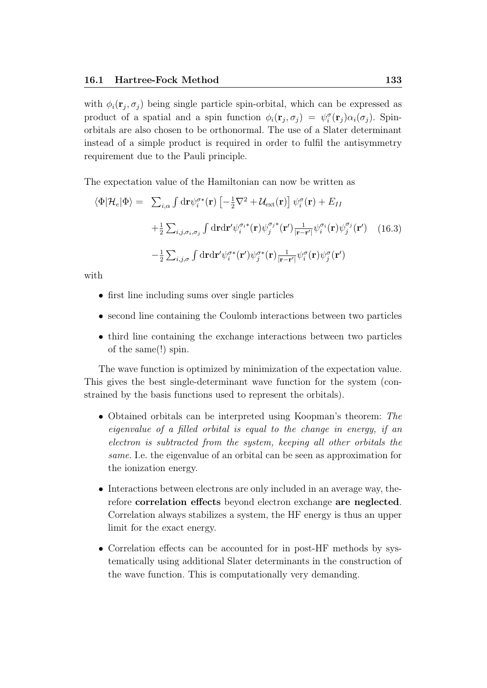with  $\phi_i(\mathbf{r}_j, \sigma_j)$  being single particle spin-orbital, which can be expressed as product of a spatial and a spin function  $\phi_i(\mathbf{r}_j, \sigma_j) = \psi_i^{\sigma}(\mathbf{r}_j) \alpha_i(\sigma_j)$ . Spinorbitals are also chosen to be orthonormal. The use of a Slater determinant instead of a simple product is required in order to fulfil the antisymmetry requirement due to the Pauli principle.

The expectation value of the Hamiltonian can now be written as

$$
\langle \Phi | \mathcal{H}_e | \Phi \rangle = \sum_{i,\alpha} \int \mathrm{d} \mathbf{r} \psi_i^{\sigma *}(\mathbf{r}) \left[ -\frac{1}{2} \nabla^2 + \mathcal{U}_{\text{ext}}(\mathbf{r}) \right] \psi_i^{\sigma}(\mathbf{r}) + E_{II}
$$
  
+ 
$$
\frac{1}{2} \sum_{i,j,\sigma_i,\sigma_j} \int \mathrm{d} \mathbf{r} \mathrm{d} \mathbf{r}' \psi_i^{\sigma_i *}(\mathbf{r}) \psi_j^{\sigma_j *}(\mathbf{r}') \frac{1}{|\mathbf{r} - \mathbf{r}'|} \psi_i^{\sigma_i}(\mathbf{r}) \psi_j^{\sigma_j}(\mathbf{r}') \qquad (16.3)
$$
  
- 
$$
\frac{1}{2} \sum_{i,j,\sigma} \int \mathrm{d} \mathbf{r} \mathrm{d} \mathbf{r}' \psi_i^{\sigma *}(\mathbf{r}') \psi_j^{\sigma *}(\mathbf{r}) \frac{1}{|\mathbf{r} - \mathbf{r}'|} \psi_i^{\sigma}(\mathbf{r}) \psi_j^{\sigma}(\mathbf{r}')
$$

with

- first line including sums over single particles
- second line containing the Coulomb interactions between two particles
- third line containing the exchange interactions between two particles of the same(!) spin.

The wave function is optimized by minimization of the expectation value. This gives the best single-determinant wave function for the system (constrained by the basis functions used to represent the orbitals).

- Obtained orbitals can be interpreted using Koopman's theorem: The eigenvalue of a filled orbital is equal to the change in energy, if an electron is subtracted from the system, keeping all other orbitals the same. I.e. the eigenvalue of an orbital can be seen as approximation for the ionization energy.
- Interactions between electrons are only included in an average way, therefore correlation effects beyond electron exchange are neglected. Correlation always stabilizes a system, the HF energy is thus an upper limit for the exact energy.
- Correlation effects can be accounted for in post-HF methods by systematically using additional Slater determinants in the construction of the wave function. This is computationally very demanding.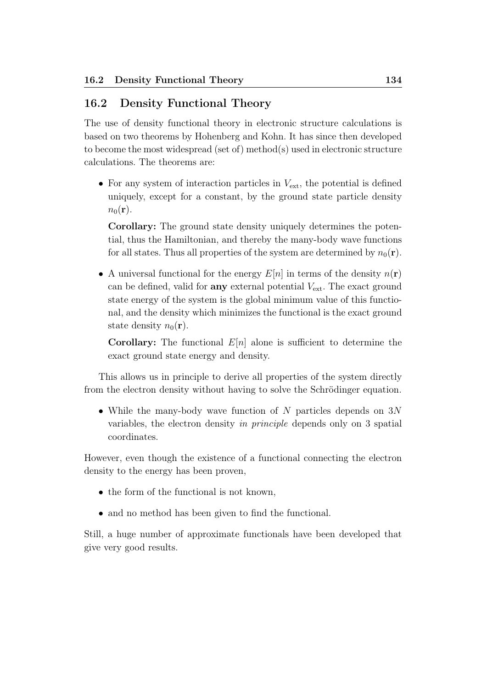# 16.2 Density Functional Theory

The use of density functional theory in electronic structure calculations is based on two theorems by Hohenberg and Kohn. It has since then developed to become the most widespread (set of) method(s) used in electronic structure calculations. The theorems are:

• For any system of interaction particles in  $V_{\text{ext}}$ , the potential is defined uniquely, except for a constant, by the ground state particle density  $n_0(\mathbf{r})$ .

Corollary: The ground state density uniquely determines the potential, thus the Hamiltonian, and thereby the many-body wave functions for all states. Thus all properties of the system are determined by  $n_0(\mathbf{r})$ .

• A universal functional for the energy  $E[n]$  in terms of the density  $n(\mathbf{r})$ can be defined, valid for **any** external potential  $V_{\text{ext}}$ . The exact ground state energy of the system is the global minimum value of this functional, and the density which minimizes the functional is the exact ground state density  $n_0(\mathbf{r})$ .

**Corollary:** The functional  $E[n]$  alone is sufficient to determine the exact ground state energy and density.

This allows us in principle to derive all properties of the system directly from the electron density without having to solve the Schrödinger equation.

• While the many-body wave function of N particles depends on  $3N$ variables, the electron density in principle depends only on 3 spatial coordinates.

However, even though the existence of a functional connecting the electron density to the energy has been proven,

- the form of the functional is not known,
- and no method has been given to find the functional.

Still, a huge number of approximate functionals have been developed that give very good results.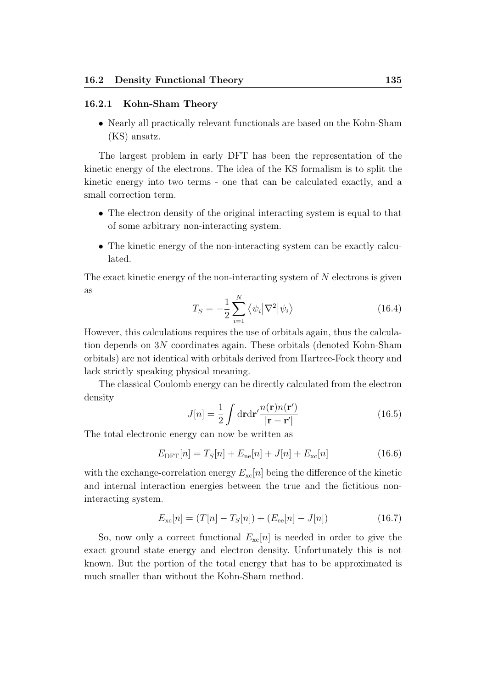# 16.2.1 Kohn-Sham Theory

• Nearly all practically relevant functionals are based on the Kohn-Sham (KS) ansatz.

The largest problem in early DFT has been the representation of the kinetic energy of the electrons. The idea of the KS formalism is to split the kinetic energy into two terms - one that can be calculated exactly, and a small correction term.

- The electron density of the original interacting system is equal to that of some arbitrary non-interacting system.
- The kinetic energy of the non-interacting system can be exactly calculated.

The exact kinetic energy of the non-interacting system of N electrons is given as

$$
T_S = -\frac{1}{2} \sum_{i=1}^{N} \langle \psi_i | \nabla^2 | \psi_i \rangle
$$
 (16.4)

However, this calculations requires the use of orbitals again, thus the calculation depends on 3N coordinates again. These orbitals (denoted Kohn-Sham orbitals) are not identical with orbitals derived from Hartree-Fock theory and lack strictly speaking physical meaning.

The classical Coulomb energy can be directly calculated from the electron density

$$
J[n] = \frac{1}{2} \int d\mathbf{r} d\mathbf{r}' \frac{n(\mathbf{r})n(\mathbf{r}')}{|\mathbf{r} - \mathbf{r}'|}
$$
(16.5)

The total electronic energy can now be written as

$$
E_{\text{DFT}}[n] = T_S[n] + E_{\text{ne}}[n] + J[n] + E_{\text{xc}}[n] \tag{16.6}
$$

with the exchange-correlation energy  $E_{\rm xc}[n]$  being the difference of the kinetic and internal interaction energies between the true and the fictitious noninteracting system.

$$
E_{\rm xc}[n] = (T[n] - T_S[n]) + (E_{\rm ee}[n] - J[n]) \tag{16.7}
$$

So, now only a correct functional  $E_{\rm xc}[n]$  is needed in order to give the exact ground state energy and electron density. Unfortunately this is not known. But the portion of the total energy that has to be approximated is much smaller than without the Kohn-Sham method.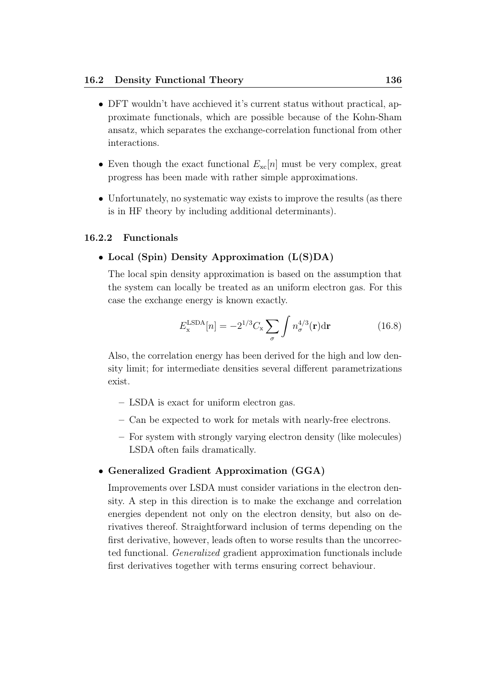- DFT wouldn't have acchieved it's current status without practical, approximate functionals, which are possible because of the Kohn-Sham ansatz, which separates the exchange-correlation functional from other interactions.
- Even though the exact functional  $E_{\rm xc}[n]$  must be very complex, great progress has been made with rather simple approximations.
- Unfortunately, no systematic way exists to improve the results (as there is in HF theory by including additional determinants).

#### 16.2.2 Functionals

### • Local (Spin) Density Approximation (L(S)DA)

The local spin density approximation is based on the assumption that the system can locally be treated as an uniform electron gas. For this case the exchange energy is known exactly.

$$
E_{\mathbf{x}}^{\text{LSDA}}[n] = -2^{1/3} C_{\mathbf{x}} \sum_{\sigma} \int n_{\sigma}^{4/3}(\mathbf{r}) d\mathbf{r}
$$
 (16.8)

Also, the correlation energy has been derived for the high and low density limit; for intermediate densities several different parametrizations exist.

- LSDA is exact for uniform electron gas.
- Can be expected to work for metals with nearly-free electrons.
- For system with strongly varying electron density (like molecules) LSDA often fails dramatically.

### • Generalized Gradient Approximation (GGA)

Improvements over LSDA must consider variations in the electron density. A step in this direction is to make the exchange and correlation energies dependent not only on the electron density, but also on derivatives thereof. Straightforward inclusion of terms depending on the first derivative, however, leads often to worse results than the uncorrected functional. Generalized gradient approximation functionals include first derivatives together with terms ensuring correct behaviour.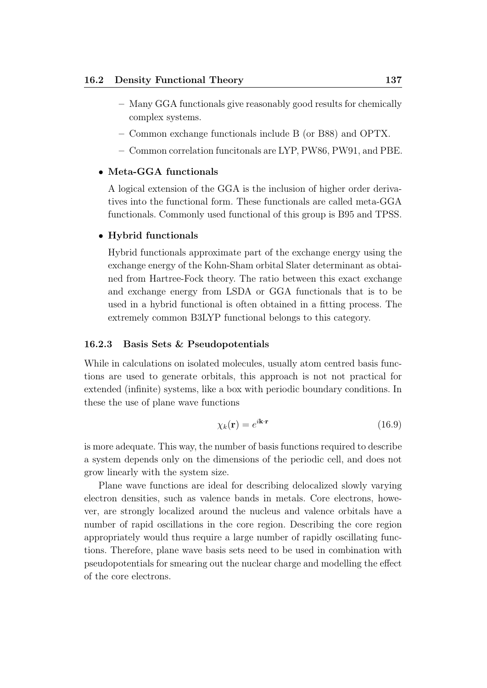- Many GGA functionals give reasonably good results for chemically complex systems.
- Common exchange functionals include B (or B88) and OPTX.
- Common correlation funcitonals are LYP, PW86, PW91, and PBE.

#### • Meta-GGA functionals

A logical extension of the GGA is the inclusion of higher order derivatives into the functional form. These functionals are called meta-GGA functionals. Commonly used functional of this group is B95 and TPSS.

#### • Hybrid functionals

Hybrid functionals approximate part of the exchange energy using the exchange energy of the Kohn-Sham orbital Slater determinant as obtained from Hartree-Fock theory. The ratio between this exact exchange and exchange energy from LSDA or GGA functionals that is to be used in a hybrid functional is often obtained in a fitting process. The extremely common B3LYP functional belongs to this category.

### 16.2.3 Basis Sets & Pseudopotentials

While in calculations on isolated molecules, usually atom centred basis functions are used to generate orbitals, this approach is not not practical for extended (infinite) systems, like a box with periodic boundary conditions. In these the use of plane wave functions

$$
\chi_k(\mathbf{r}) = e^{i\mathbf{k}\cdot\mathbf{r}} \tag{16.9}
$$

is more adequate. This way, the number of basis functions required to describe a system depends only on the dimensions of the periodic cell, and does not grow linearly with the system size.

Plane wave functions are ideal for describing delocalized slowly varying electron densities, such as valence bands in metals. Core electrons, however, are strongly localized around the nucleus and valence orbitals have a number of rapid oscillations in the core region. Describing the core region appropriately would thus require a large number of rapidly oscillating functions. Therefore, plane wave basis sets need to be used in combination with pseudopotentials for smearing out the nuclear charge and modelling the effect of the core electrons.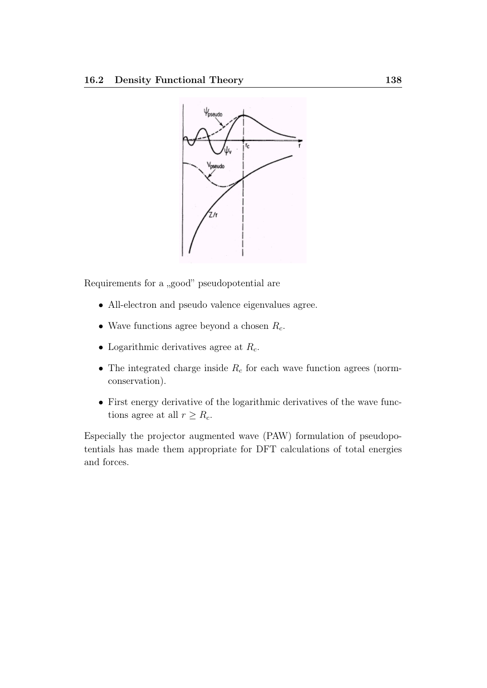

Requirements for a "good" pseudopotential are

- All-electron and pseudo valence eigenvalues agree.
- Wave functions agree beyond a chosen  $R_c$ .
- Logarithmic derivatives agree at  $R_c$ .
- The integrated charge inside  $R_c$  for each wave function agrees (normconservation).
- First energy derivative of the logarithmic derivatives of the wave functions agree at all  $r \geq R_c$ .

Especially the projector augmented wave (PAW) formulation of pseudopotentials has made them appropriate for DFT calculations of total energies and forces.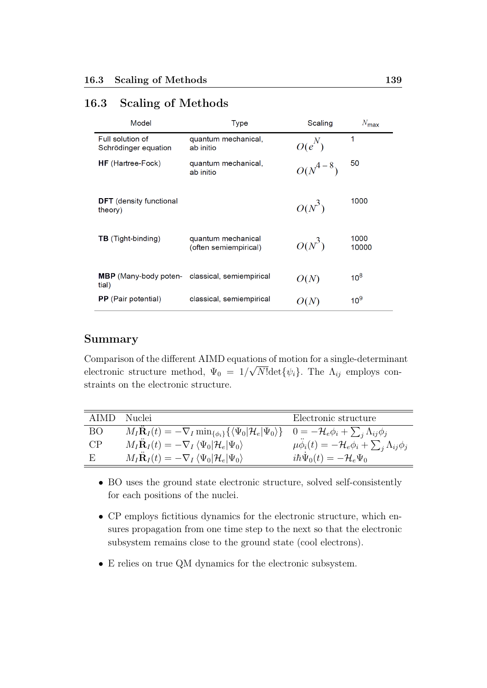# 16.3 Scaling of Methods

| Model                                     | <b>Type</b>                                 | Scaling      | $N_{\text{max}}$ |
|-------------------------------------------|---------------------------------------------|--------------|------------------|
| Full solution of<br>Schrödinger equation  | quantum mechanical,<br>ab initio            | $O(e^N)$     | 1                |
| <b>HF</b> (Hartree-Fock)                  | quantum mechanical,<br>ab initio            | $O(N^{4-8})$ | 50               |
| <b>DFT</b> (density functional<br>theory) |                                             | $O(N^3)$     | 1000             |
| <b>TB</b> (Tight-binding)                 | quantum mechanical<br>(often semiempirical) | $O(N^3)$     | 1000<br>10000    |
| <b>MBP</b> (Many-body poten-<br>tial)     | classical, semiempirical                    | O(N)         | 10 <sup>8</sup>  |
| PP (Pair potential)                       | classical, semiempirical                    | O(N)         | 10 <sup>9</sup>  |

# Summary

Comparison of the different AIMD equations of motion for a single-determinant electronic structure method,  $\Psi_0 = 1/\sqrt{N!} \text{det} \{\psi_i\}.$  The  $\Lambda_{ij}$  employs constraints on the electronic structure.

| AIMD. | – Nuclei                                                                                                                                                           | Electronic structure                                                 |
|-------|--------------------------------------------------------------------------------------------------------------------------------------------------------------------|----------------------------------------------------------------------|
| ВO    | $M_I \mathbf{R}_I(t) = -\nabla_I \min_{\{\phi_i\}} \{ \langle \Psi_0   \mathcal{H}_e   \Psi_0 \rangle \}$ $0 = -\mathcal{H}_e \phi_i + \sum_i \Lambda_{ij} \phi_j$ |                                                                      |
| CP    | $M_I \ddot{\mathbf{R}}_I(t) = -\nabla_I \langle \Psi_0   \mathcal{H}_e   \Psi_0 \rangle$                                                                           | $\mu \phi_i(t) = -\mathcal{H}_e \phi_i + \sum_i \Lambda_{ij} \phi_j$ |
| E     | $M_I \ddot{\mathbf{R}}_I(t) = -\nabla_I \langle \Psi_0   \mathcal{H}_e   \Psi_0 \rangle$                                                                           | $i\hbar \Psi_0(t) = -\mathcal{H}_e \Psi_0$                           |

- BO uses the ground state electronic structure, solved self-consistently for each positions of the nuclei.
- CP employs fictitious dynamics for the electronic structure, which ensures propagation from one time step to the next so that the electronic subsystem remains close to the ground state (cool electrons).
- E relies on true QM dynamics for the electronic subsystem.